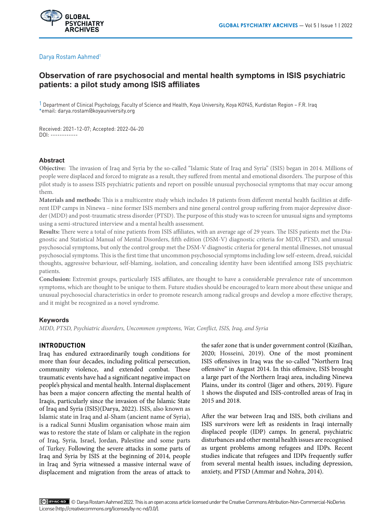

# Darya Rostam Aahmed<sup>1</sup>

# **Observation of rare psychosocial and mental health symptoms in ISIS psychiatric patients: a pilot study among ISIS affiliates**

1 Department of Clinical Psychology, Faculty of Science and Health, Koya University, Koya KOY45, Kurdistan Region – F.R. Iraq \*email: darya.rostam@koyauniversity.org

Received: 2021-12-07; Accepted: 2022-04-20 DOI: ------------

# **Abstract**

**Objective:** The invasion of Iraq and Syria by the so-called "Islamic State of Iraq and Syria" (ISIS) began in 2014. Millions of people were displaced and forced to migrate as a result, they suffered from mental and emotional disorders. The purpose of this pilot study is to assess ISIS psychiatric patients and report on possible unusual psychosocial symptoms that may occur among them*.*

**Materials and methods:** This is a multicentre study which includes 18 patients from different mental health facilities at different IDP camps in Ninewa – nine former ISIS members and nine general control group suffering from major depressive disorder (MDD) and post-traumatic stress disorder (PTSD). The purpose of this study was to screen for unusual signs and symptoms using a semi-structured interview and a mental health assessment*.*

**Results:** There were a total of nine patients from ISIS affiliates, with an average age of 29 years. The ISIS patients met the Diagnostic and Statistical Manual of Mental Disorders, fifth edition (DSM-V) diagnostic criteria for MDD, PTSD, and unusual psychosocial symptoms, but only the control group met the DSM-V diagnostic criteria for general mental illnesses, not unusual psychosocial symptoms. This is the first time that uncommon psychosocial symptoms including low self-esteem, dread, suicidal thoughts, aggressive behaviour, self-blaming, isolation, and concealing identity have been identified among ISIS psychiatric patients.

**Conclusion:** Extremist groups, particularly ISIS affiliates, are thought to have a considerable prevalence rate of uncommon symptoms, which are thought to be unique to them. Future studies should be encouraged to learn more about these unique and unusual psychosocial characteristics in order to promote research among radical groups and develop a more effective therapy, and it might be recognized as a novel syndrome.

# **Keywords**

*MDD, PTSD, Psychiatric disorders, Uncommon symptoms, War, Conflict, ISIS, Iraq, and Syria*

# **INTRODUCTION**

Iraq has endured extraordinarily tough conditions for more than four decades, including political persecution, community violence, and extended combat. These traumatic events have had a significant negative impact on people's physical and mental health. Internal displacement has been a major concern affecting the mental health of Iraqis, particularly since the invasion of the Islamic State of Iraq and Syria (ISIS)(Darya, 2022). ISIS, also known as Islamic state in Iraq and al-Sham (ancient name of Syria), is a radical Sunni Muslim organisation whose main aim was to restore the state of Islam or caliphate in the region of Iraq, Syria, Israel, Jordan, Palestine and some parts of Turkey. Following the severe attacks in some parts of Iraq and Syria by ISIS at the beginning of 2014, people in Iraq and Syria witnessed a massive internal wave of displacement and migration from the areas of attack to

the safer zone that is under government control (Kizilhan, 2020; Hosseini, 2019). One of the most prominent ISIS offensives in Iraq was the so-called "Northern Iraq offensive" in August 2014. In this offensive, ISIS brought a large part of the Northern Iraqi area, including Ninewa Plains, under its control (Jäger and others, 2019). Figure 1 shows the disputed and ISIS-controlled areas of Iraq in 2015 and 2018.

After the war between Iraq and ISIS, both civilians and ISIS survivors were left as residents in Iraqi internally displaced people (IDP) camps. In general, psychiatric disturbances and other mental health issues are recognised as urgent problems among refugees and IDPs. Recent studies indicate that refugees and IDPs frequently suffer from several mental health issues, including depression, anxiety, and PTSD (Ammar and Nohra, 2014).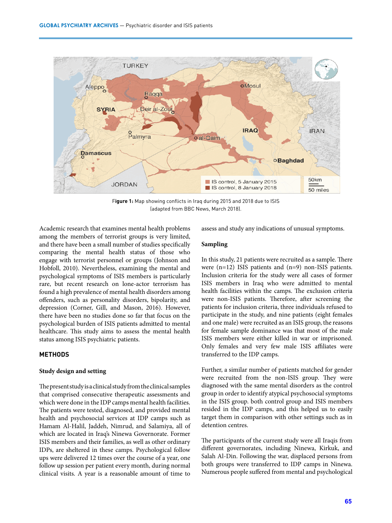

F**igure 1:** Map showing conflicts in Iraq during 2015 and 2018 due to ISIS (adapted from BBC News, March 2018).

Academic research that examines mental health problems among the members of terrorist groups is very limited, and there have been a small number of studies specifically comparing the mental health status of those who engage with terrorist personnel or groups (Johnson and Hobfoll, 2010). Nevertheless, examining the mental and psychological symptoms of ISIS members is particularly rare, but recent research on lone-actor terrorism has found a high prevalence of mental health disorders among offenders, such as personality disorders, bipolarity, and depression (Corner, Gill, and Mason, 2016). However, there have been no studies done so far that focus on the psychological burden of ISIS patients admitted to mental healthcare. This study aims to assess the mental health status among ISIS psychiatric patients.

# **METHODS**

#### **Study design and setting**

The present study is a clinical study from the clinical samples that comprised consecutive therapeutic assessments and which were done in the IDP camps mental health facilities. The patients were tested, diagnosed, and provided mental health and psychosocial services at IDP camps such as Hamam Al-Halil, Jaddeh, Nimrud, and Salamiya, all of which are located in Iraq's Ninewa Governorate. Former ISIS members and their families, as well as other ordinary IDPs, are sheltered in these camps. Psychological follow ups were delivered 12 times over the course of a year, one follow up session per patient every month, during normal clinical visits. A year is a reasonable amount of time to

assess and study any indications of unusual symptoms.

## **Sampling**

In this study, 21 patients were recruited as a sample. There were (n=12) ISIS patients and (n=9) non-ISIS patients. Inclusion criteria for the study were all cases of former ISIS members in Iraq who were admitted to mental health facilities within the camps. The exclusion criteria were non-ISIS patients. Therefore, after screening the patients for inclusion criteria, three individuals refused to participate in the study, and nine patients (eight females and one male) were recruited as an ISIS group, the reasons for female sample dominance was that most of the male ISIS members were either killed in war or imprisoned. Only females and very few male ISIS affiliates were transferred to the IDP camps.

Further, a similar number of patients matched for gender were recruited from the non-ISIS group. They were diagnosed with the same mental disorders as the control group in order to identify atypical psychosocial symptoms in the ISIS group. both control group and ISIS members resided in the IDP camps, and this helped us to easily target them in comparison with other settings such as in detention centres.

The participants of the current study were all Iraqis from different governorates, including Ninewa, Kirkuk, and Salah Al-Din. Following the war, displaced persons from both groups were transferred to IDP camps in Ninewa. Numerous people suffered from mental and psychological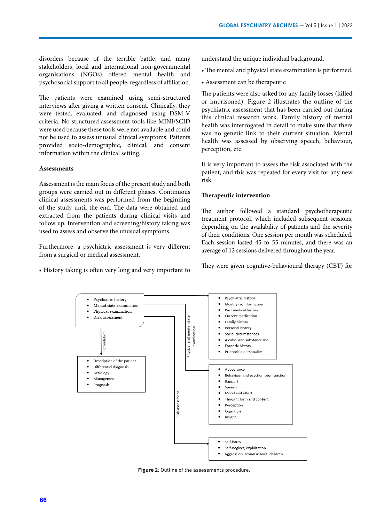disorders because of the terrible battle, and many stakeholders, local and international non-governmental organisations (NGOs) offered mental health and psychosocial support to all people, regardless of affiliation.

The patients were examined using semi-structured interviews after giving a written consent. Clinically, they were tested, evaluated, and diagnosed using DSM-V criteria. No structured assessment tools like MINI/SCID were used because these tools were not available and could not be used to assess unusual clinical symptoms. Patients provided socio-demographic, clinical, and consent information within the clinical setting.

#### **Assessments**

Assessment is the main focus of the present study and both groups were carried out in different phases. Continuous clinical assessments was performed from the beginning of the study until the end. The data were obtained and extracted from the patients during clinical visits and follow up. Intervention and screening/history taking was used to assess and observe the unusual symptoms.

Furthermore, a psychiatric assessment is very different from a surgical or medical assessment.

• History taking is often very long and very important to

understand the unique individual background.

- The mental and physical state examination is performed.
- Assessment can be therapeutic

The patients were also asked for any family losses (killed or imprisoned). Figure 2 illustrates the outline of the psychiatric assessment that has been carried out during this clinical research work. Family history of mental health was interrogated in detail to make sure that there was no genetic link to their current situation. Mental health was assessed by observing speech, behaviour, perception, etc.

It is very important to assess the risk associated with the patient, and this was repeated for every visit for any new risk.

#### **Therapeutic intervention**

The author followed a standard psychotherapeutic treatment protocol, which included subsequent sessions, depending on the availability of patients and the severity of their conditions. One session per month was scheduled. Each session lasted 45 to 55 minutes, and there was an average of 12 sessions delivered throughout the year.

They were given cognitive-behavioural therapy (CBT) for



**Figure 2:** Outline of the assessments procedure.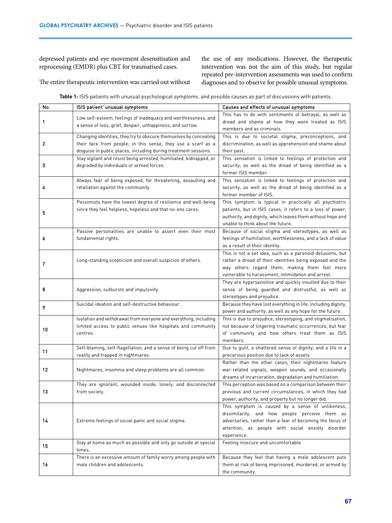depressed patients and eye movement desensitisation and reprocessing (EMDR) plus CBT for traumatised cases.

the use of any medications. However, the therapeutic intervention was not the aim of this study, but regular repeated pre-intervention assessments was used to confirm diagnoses and to observe for possible unusual symptoms.

The entire therapeutic intervention was carried out without

**Table 1:** ISIS patients with unusual psychological symptoms, and possible causes as part of discussions with patients.

| No. | ISIS patient' unusual symptoms                                                                                                                                                                       | Causes and effects of unusual symptoms                                                                                                                                                                                             |
|-----|------------------------------------------------------------------------------------------------------------------------------------------------------------------------------------------------------|------------------------------------------------------------------------------------------------------------------------------------------------------------------------------------------------------------------------------------|
| 1   | Low self-esteem, feelings of inadequacy and worthlessness, and<br>a sense of loss, grief, despair, unhappiness, and sorrow.                                                                          | This has to do with sentiments of betrayal, as well as<br>dread and shame at how they were treated as ISIS<br>members and as criminals.                                                                                            |
| 2   | Changing identities, they try to obscure themselves by concealing<br>their face from people; in this sense, they use a scarf as a<br>disguise in public places, including during treatment sessions. | This is due to societal stigma, preconceptions, and<br>discrimination, as well as apprehension and shame about<br>their past.                                                                                                      |
| 3   | Stay vigilant and resist being arrested, humiliated, kidnapped, or<br>degraded by individuals or armed forces.                                                                                       | This sensation is linked to feelings of protection and<br>security, as well as the dread of being identified as a<br>former ISIS member.                                                                                           |
| 4   | Always fear of being exposed, for threatening, assaulting and<br>retaliation against the community.                                                                                                  | This sensation is linked to feelings of protection and<br>security, as well as the dread of being identified as a<br>former member of ISIS.                                                                                        |
| 5   | Pessimists have the lowest degree of resilience and well-being<br>since they feel helpless, hopeless and that no-one cares.                                                                          | This symptom is typical in practically all psychiatric<br>patients, but in ISIS cases, it refers to a loss of power,<br>authority, and dignity, which leaves them without hope and<br>unable to think about the future.            |
| 6   | Passive personalities are unable to assert even their most<br>fundamental rights.                                                                                                                    | Because of social stigma and stereotypes, as well as<br>feelings of humiliation, worthlessness, and a lack of value<br>as a result of their identity.                                                                              |
| 7   | Long-standing scepticism and overall suspicion of others.                                                                                                                                            | This is not a set idea, such as a paranoid delusions, but<br>rather a dread of their identities being exposed and the<br>way others regard them, making them feel more<br>vulnerable to harassment, intimidation and arrest.       |
| 8   | Aggression, outbursts and impulsivity.                                                                                                                                                               | They are hypersensitive and quickly insulted due to their<br>sense of being quarded and distrustful, as well as<br>stereotypes and prejudice.                                                                                      |
| 9   | Suicidal ideation and self-destructive behaviour.                                                                                                                                                    | Because they have lost everything in life, including dignity,<br>power and authority, as well as any hope for the future.                                                                                                          |
| 10  | Isolation and withdrawal from everyone and everything, including<br>limited access to public venues like hospitals and community<br>centres.                                                         | This is due to prejudice, stereotyping, and stigmatisation,<br>not because of lingering traumatic occurrences, but fear<br>of community and how others treat them as ISIS<br>members.                                              |
| 11  | Self-blaming, self-flagellation, and a sense of being cut off from<br>reality and trapped in nightmares.                                                                                             | Due to guilt, a shattered sense of dignity, and a life in a<br>precarious position due to lack of assets                                                                                                                           |
| 12  | Nightmares, insomnia and sleep problems are all common.                                                                                                                                              | Rather than the other cases, their nightmares feature<br>war-related signals, weapon sounds, and occasionally<br>dreams of incarceration, degradation and humiliation.                                                             |
| 13  | They are ignorant, wounded inside, lonely, and disconnected<br>from society.                                                                                                                         | This perception was based on a comparison between their<br>previous and current circumstances, in which they had<br>power, authority, and property but no longer did.                                                              |
| 14  | Extreme feelings of social panic and social stigma.                                                                                                                                                  | This symptom is caused by a sense of unlikeness,<br>dissimilarity, and how people perceive them as<br>adversaries, rather than a fear of becoming the focus of<br>attention, as people with social anxiety disorder<br>experience. |
| 15  | Stay at home as much as possible and only go outside at special<br>times.                                                                                                                            | Feeling insecure and uncomfortable.                                                                                                                                                                                                |
| 16  | There is an excessive amount of family worry among people with<br>male children and adolescents.                                                                                                     | Because they feel that having a male adolescent puts<br>them at risk of being imprisoned, murdered, or armed by<br>the community.                                                                                                  |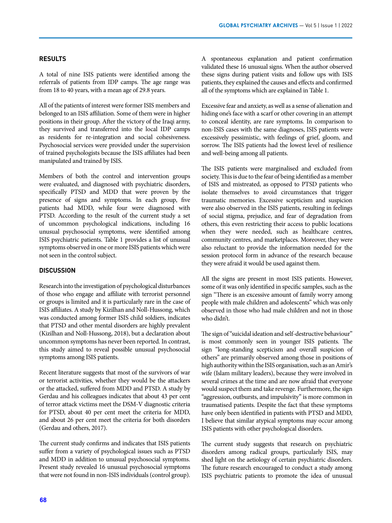# **RESULTS**

A total of nine ISIS patients were identified among the referrals of patients from IDP camps. The age range was from 18 to 40 years, with a mean age of 29.8 years.

All of the patients of interest were former ISIS members and belonged to an ISIS affiliation. Some of them were in higher positions in their group. After the victory of the Iraqi army, they survived and transferred into the local IDP camps as residents for re-integration and social cohesiveness. Psychosocial services were provided under the supervision of trained psychologists because the ISIS affiliates had been manipulated and trained by ISIS.

Members of both the control and intervention groups were evaluated, and diagnosed with psychiatric disorders, specifically PTSD and MDD that were proven by the presence of signs and symptoms. In each group, five patients had MDD, while four were diagnosed with PTSD. According to the result of the current study a set of uncommon psychological indications, including 16 unusual psychosocial symptoms, were identified among ISIS psychiatric patients. Table 1 provides a list of unusual symptoms observed in one or more ISIS patients which were not seen in the control subject.

# **DISCUSSION**

Research into the investigation of psychological disturbances of those who engage and affiliate with terrorist personnel or groups is limited and it is particularly rare in the case of ISIS affiliates. A study by Kizilhan and Noll-Hussong, which was conducted among former ISIS child soldiers, indicates that PTSD and other mental disorders are highly prevalent (Kizilhan and Noll-Hussong, 2018), but a declaration about uncommon symptoms has never been reported. In contrast, this study aimed to reveal possible unusual psychosocial symptoms among ISIS patients.

Recent literature suggests that most of the survivors of war or terrorist activities, whether they would be the attackers or the attacked, suffered from MDD and PTSD. A study by Gerdau and his colleagues indicates that about 43 per cent of terror attack victims meet the DSM-V diagnostic criteria for PTSD, about 40 per cent meet the criteria for MDD, and about 26 per cent meet the criteria for both disorders (Gerdau and others, 2017).

The current study confirms and indicates that ISIS patients suffer from a variety of psychological issues such as PTSD and MDD in addition to unusual psychosocial symptoms. Present study revealed 16 unusual psychosocial symptoms that were not found in non-ISIS individuals (control group). A spontaneous explanation and patient confirmation validated these 16 unusual signs. When the author observed these signs during patient visits and follow ups with ISIS patients, they explained the causes and effects and confirmed all of the symptoms which are explained in Table 1.

Excessive fear and anxiety, as well as a sense of alienation and hiding one's face with a scarf or other covering in an attempt to conceal identity, are rare symptoms. In comparison to non-ISIS cases with the same diagnoses, ISIS patients were excessively pessimistic, with feelings of grief, gloom, and sorrow. The ISIS patients had the lowest level of resilience and well-being among all patients.

The ISIS patients were marginalised and excluded from society. This is due to the fear of being identified as a member of ISIS and mistreated, as opposed to PTSD patients who isolate themselves to avoid circumstances that trigger traumatic memories. Excessive scepticism and suspicion were also observed in the ISIS patients, resulting in feelings of social stigma, prejudice, and fear of degradation from others, this even restricting their access to public locations when they were needed, such as healthcare centres, community centres, and marketplaces. Moreover, they were also reluctant to provide the information needed for the session protocol form in advance of the research because they were afraid it would be used against them.

All the signs are present in most ISIS patients. However, some of it was only identified in specific samples, such as the sign "There is an excessive amount of family worry among people with male children and adolescents" which was only observed in those who had male children and not in those who didn't.

The sign of "suicidal ideation and self-destructive behaviour" is most commonly seen in younger ISIS patients. The sign "long-standing scepticism and overall suspicion of others" are primarily observed among those in positions of high authority within the ISIS organisation, such as an Amir's wife (Islam military leaders), because they were involved in several crimes at the time and are now afraid that everyone would suspect them and take revenge. Furthermore, the sign "aggression, outbursts, and impulsivity" is more common in traumatised patients. Despite the fact that these symptoms have only been identified in patients with PTSD and MDD, I believe that similar atypical symptoms may occur among ISIS patients with other psychological disorders.

The current study suggests that research on psychiatric disorders among radical groups, particularly ISIS, may shed light on the aetiology of certain psychiatric disorders. The future research encouraged to conduct a study among ISIS psychiatric patients to promote the idea of unusual